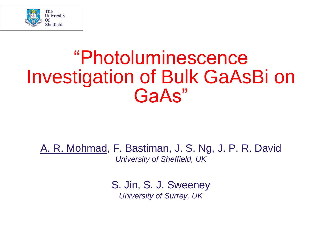

#### "Photoluminescence Investigation of Bulk GaAsBi on GaAs"

A. R. Mohmad, F. Bastiman, J. S. Ng, J. P. R. David *University of Sheffield, UK*

> S. Jin, S. J. Sweeney *University of Surrey, UK*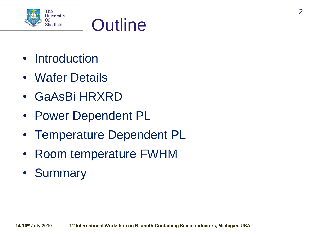



- Introduction
- Wafer Details
- GaAsBi HRXRD
- Power Dependent PL
- Temperature Dependent PL
- Room temperature FWHM
- Summary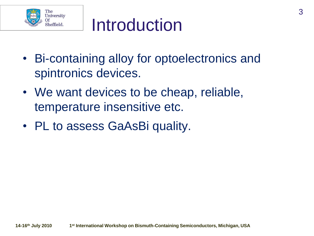

### Introduction

- Bi-containing alloy for optoelectronics and spintronics devices.
- We want devices to be cheap, reliable, temperature insensitive etc.
- PL to assess GaAsBi quality.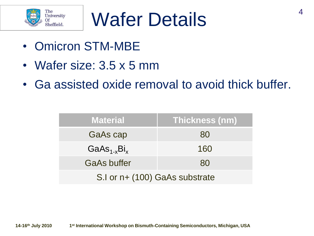

# Wafer Details<sup>4</sup>

- Omicron STM-MBE
- Wafer size: 3.5 x 5 mm
- Ga assisted oxide removal to avoid thick buffer.

| <b>Material</b>                | Thickness (nm) |  |
|--------------------------------|----------------|--|
| <b>GaAs cap</b>                | 80             |  |
| $GaAs_{1-x}Bi_x$               | 160            |  |
| <b>GaAs buffer</b>             | 80             |  |
| S.I or n+ (100) GaAs substrate |                |  |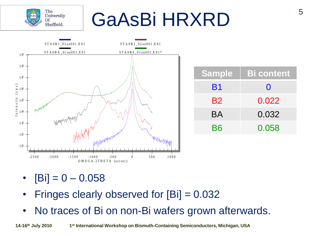# GaAsBi HRXRD



 $[Bi] = 0 - 0.058$ 

The **University** 

Of Sheffield.

- Fringes clearly observed for [Bi] = 0.032
- No traces of Bi on non-Bi wafers grown afterwards.

**14-16th July 2010 1 st International Workshop on Bismuth-Containing Semiconductors, Michigan, USA**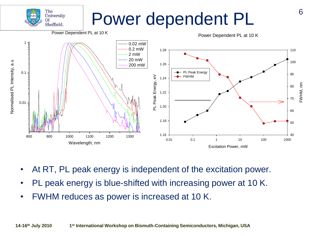## Power dependent PL



- At RT, PL peak energy is independent of the excitation power.
- PL peak energy is blue-shifted with increasing power at 10 K.
- FWHM reduces as power is increased at 10 K.

The **University** 

Of Sheffield.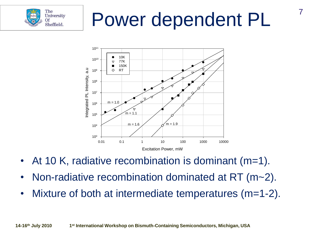

# Power dependent PL

7



- At 10 K, radiative recombination is dominant  $(m=1)$ .
- Non-radiative recombination dominated at RT (m~2).
- Mixture of both at intermediate temperatures (m=1-2).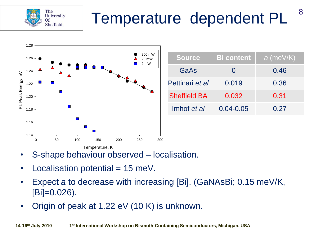

## Temperature dependent PL



| <b>Source</b>       | <b>Bi</b> content | $a$ (meV/K) |
|---------------------|-------------------|-------------|
| GaAs                |                   | 0.46        |
| Pettinari et al     | 0.019             | 0.36        |
| <b>Sheffield BA</b> | 0.032             | 0.31        |
| Imhof et al         | $0.04 - 0.05$     | 0.27        |

8

- S-shape behaviour observed localisation.
- Localisation potential  $= 15$  meV.
- Expect *a* to decrease with increasing [Bi]. (GaNAsBi; 0.15 meV/K, [Bi]=0.026).
- Origin of peak at 1.22 eV (10 K) is unknown.

**14-16th July 2010 1 st International Workshop on Bismuth-Containing Semiconductors, Michigan, USA**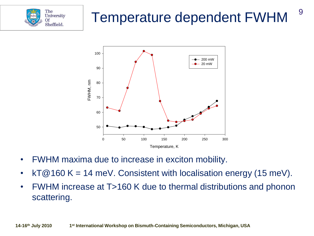

#### Temperature dependent FWHM

9



- FWHM maxima due to increase in exciton mobility.
- kT@160 K = 14 meV. Consistent with localisation energy (15 meV).
- FWHM increase at T>160 K due to thermal distributions and phonon scattering.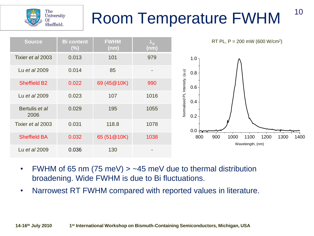



FWHM of 65 nm (75 meV)  $>$  ~45 meV due to thermal distribution broadening. Wide FWHM is due to Bi fluctuations.

The **University** 

Of Sheffield.

• Narrowest RT FWHM compared with reported values in literature.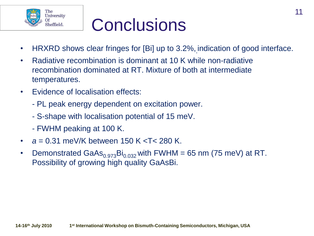

## **Conclusions**

- HRXRD shows clear fringes for [Bi] up to 3.2%, indication of good interface.
- Radiative recombination is dominant at 10 K while non-radiative recombination dominated at RT. Mixture of both at intermediate temperatures.
- Evidence of localisation effects:
	- PL peak energy dependent on excitation power.
	- S-shape with localisation potential of 15 meV.
	- FWHM peaking at 100 K.
- *a* = 0.31 meV/K between 150 K <T< 280 K.
- Demonstrated GaAs $_{0.973}$ Bi<sub>0.032</sub> with FWHM = 65 nm (75 meV) at RT. Possibility of growing high quality GaAsBi.